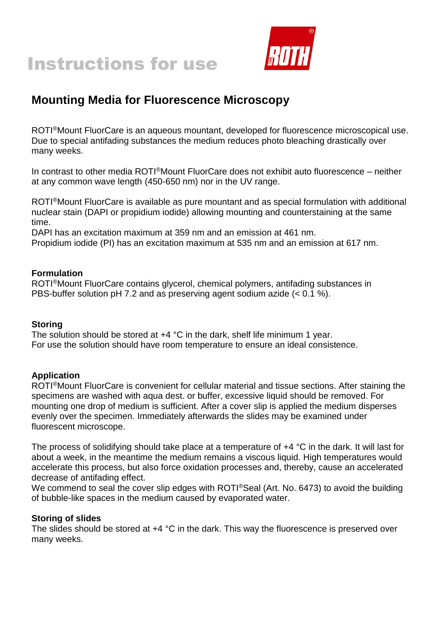



# **Mounting Media for Fluorescence Microscopy**

ROTI®Mount FluorCare is an aqueous mountant, developed for fluorescence microscopical use. Due to special antifading substances the medium reduces photo bleaching drastically over many weeks.

In contrast to other media ROTI®Mount FluorCare does not exhibit auto fluorescence – neither at any common wave length (450-650 nm) nor in the UV range.

ROTI®Mount FluorCare is available as pure mountant and as special formulation with additional nuclear stain (DAPI or propidium iodide) allowing mounting and counterstaining at the same time.

DAPI has an excitation maximum at 359 nm and an emission at 461 nm.

Propidium iodide (PI) has an excitation maximum at 535 nm and an emission at 617 nm.

#### **Formulation**

ROTI®Mount FluorCare contains glycerol, chemical polymers, antifading substances in PBS-buffer solution pH 7.2 and as preserving agent sodium azide (< 0.1 %).

#### **Storing**

The solution should be stored at  $+4$  °C in the dark, shelf life minimum 1 year. For use the solution should have room temperature to ensure an ideal consistence.

#### **Application**

ROTI®Mount FluorCare is convenient for cellular material and tissue sections. After staining the specimens are washed with aqua dest. or buffer, excessive liquid should be removed. For mounting one drop of medium is sufficient. After a cover slip is applied the medium disperses evenly over the specimen. Immediately afterwards the slides may be examined under fluorescent microscope.

The process of solidifying should take place at a temperature of  $+4$  °C in the dark. It will last for about a week, in the meantime the medium remains a viscous liquid. High temperatures would accelerate this process, but also force oxidation processes and, thereby, cause an accelerated decrease of antifading effect.

We commend to seal the cover slip edges with ROTI®Seal (Art. No. 6473) to avoid the building of bubble-like spaces in the medium caused by evaporated water.

#### **Storing of slides**

The slides should be stored at +4 °C in the dark. This way the fluorescence is preserved over many weeks.